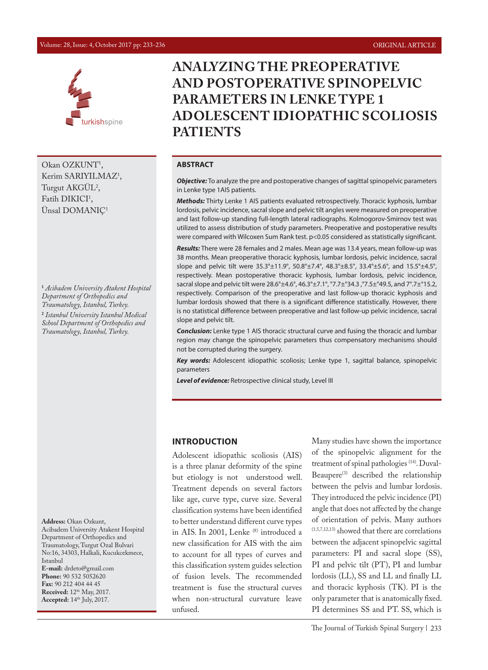#### Volume: 28, Issue: 4, October 2017 pp: 233-236 ORIGINAL ARTICLE



Okan OZKUNT<sup>1</sup>, Kerim SARIYILMAZ<sup>1</sup>, Turgut AKGUL<sup>2</sup>, Fatih  $DIKICI<sup>T</sup>$ , Ünsal DOMANIÇ1

**1**  *Acibadem University Atakent Hospital Department of Orthopedics and Traumatology, Istanbul, Turkey.* **2**  *Istanbul University Istanbul Medical School Department of Orthopedics and Traumatology, Istanbul, Turkey.*

**Address:** Okan Ozkunt, Acibadem University Atakent Hospital Department of Orthopedics and Traumatology, Turgut Ozal Bulvari No:16, 34303, Halkali, Kucukcekmece, Istanbul **E-mail:** drdeto@gmail.com **Phone:** 90 532 5052620 **Fax:** 90 212 404 44 45 **Received:**  $12^{th}$  May, 2017. **Accepted:** 14th July, 2017.

# **ANALYZING THE PREOPERATIVE AND POSTOPERATIVE SPINOPELVIC PARAMETERS IN LENKE TYPE 1 ADOLESCENT IDIOPATHIC SCOLIOSIS PATIENTS**

#### **ABSTRACT**

*Objective:* To analyze the pre and postoperative changes of sagittal spinopelvic parameters in Lenke type 1AIS patients.

*Methods:* Thirty Lenke 1 AIS patients evaluated retrospectively. Thoracic kyphosis, lumbar lordosis, pelvic incidence, sacral slope and pelvic tilt angles were measured on preoperative and last follow-up standing full-length lateral radiographs. Kolmogorov-Smirnov test was utilized to assess distribution of study parameters. Preoperative and postoperative results were compared with Wilcoxen Sum Rank test. p<0.05 considered as statistically significant.

*Results:* There were 28 females and 2 males. Mean age was 13.4 years, mean follow-up was 38 months. Mean preoperative thoracic kyphosis, lumbar lordosis, pelvic incidence, sacral slope and pelvic tilt were 35.3°±11.9°, 50.8°±7.4°, 48.3°±8.5°, 33.4°±5.6°, and 15.5°±4.5°, respectively. Mean postoperative thoracic kyphosis, lumbar lordosis, pelvic incidence, sacral slope and pelvic tilt were 28.6°±4.6°, 46.3°±7.1°, °7.7±°34.3 ,°7.5±°49.5, and 7°.7±°15.2, respectively. Comparison of the preoperative and last follow-up thoracic kyphosis and lumbar lordosis showed that there is a significant difference statistically. However, there is no statistical difference between preoperative and last follow-up pelvic incidence, sacral slope and pelvic tilt.

*Conclusion:* Lenke type 1 AIS thoracic structural curve and fusing the thoracic and lumbar region may change the spinopelvic parameters thus compensatory mechanisms should not be corrupted during the surgery.

*Key words:* Adolescent idiopathic scoliosis; Lenke type 1, sagittal balance, spinopelvic parameters

*Level of evidence:* Retrospective clinical study, Level III

#### **INTRODUCTION**

Adolescent idiopathic scoliosis (AIS) is a three planar deformity of the spine but etiology is not understood well. Treatment depends on several factors like age, curve type, curve size. Several classification systems have been identified to better understand different curve types in AIS. In 2001, Lenke (8) introduced a new classification for AIS with the aim to account for all types of curves and this classification system guides selection of fusion levels. The recommended treatment is fuse the structural curves when non-structural curvature leave unfused.

Many studies have shown the importance of the spinopelvic alignment for the treatment of spinal pathologies (14). Duval-Beaupere<sup>(3)</sup> described the relationship between the pelvis and lumbar lordosis. They introduced the pelvic incidence (PI) angle that does not affected by the change of orientation of pelvis. Many authors (1,5,7,12,13) showed that there are correlations between the adjacent spinopelvic sagittal parameters: PI and sacral slope (SS), PI and pelvic tilt (PT), PI and lumbar lordosis (LL), SS and LL and finally LL and thoracic kyphosis (TK). PI is the only parameter that is anatomically fixed. PI determines SS and PT. SS, which is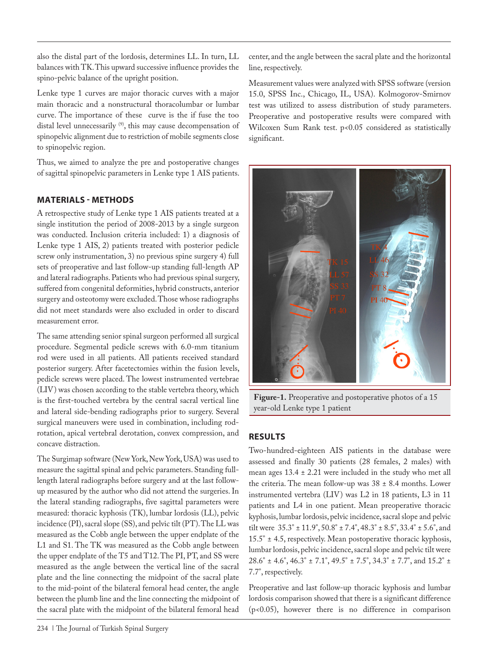also the distal part of the lordosis, determines LL. In turn, LL balances with TK. This upward successive influence provides the spino-pelvic balance of the upright position.

Lenke type 1 curves are major thoracic curves with a major main thoracic and a nonstructural thoracolumbar or lumbar curve. The importance of these curve is the if fuse the too distal level unnecessarily <sup>(9)</sup>, this may cause decompensation of spinopelvic alignment due to restriction of mobile segments close to spinopelvic region.

Thus, we aimed to analyze the pre and postoperative changes of sagittal spinopelvic parameters in Lenke type 1 AIS patients.

# **MATERIALS - METHODS**

A retrospective study of Lenke type 1 AIS patients treated at a single institution the period of 2008-2013 by a single surgeon was conducted. Inclusion criteria included: 1) a diagnosis of Lenke type 1 AIS, 2) patients treated with posterior pedicle screw only instrumentation, 3) no previous spine surgery 4) full sets of preoperative and last follow-up standing full-length AP and lateral radiographs. Patients who had previous spinal surgery, suffered from congenital deformities, hybrid constructs, anterior surgery and osteotomy were excluded. Those whose radiographs did not meet standards were also excluded in order to discard measurement error.

The same attending senior spinal surgeon performed all surgical procedure. Segmental pedicle screws with 6.0-mm titanium rod were used in all patients. All patients received standard posterior surgery. After facetectomies within the fusion levels, pedicle screws were placed. The lowest instrumented vertebrae (LIV) was chosen according to the stable vertebra theory, which is the first-touched vertebra by the central sacral vertical line and lateral side-bending radiographs prior to surgery. Several surgical maneuvers were used in combination, including rodrotation, apical vertebral derotation, convex compression, and concave distraction.

The Surgimap software (New York, New York, USA) was used to measure the sagittal spinal and pelvic parameters. Standing fulllength lateral radiographs before surgery and at the last followup measured by the author who did not attend the surgeries. In the lateral standing radiographs, five sagittal parameters were measured: thoracic kyphosis (TK), lumbar lordosis (LL), pelvic incidence (PI), sacral slope (SS), and pelvic tilt (PT). The LL was measured as the Cobb angle between the upper endplate of the L1 and S1. The TK was measured as the Cobb angle between the upper endplate of the T5 and T12. The PI, PT, and SS were measured as the angle between the vertical line of the sacral plate and the line connecting the midpoint of the sacral plate to the mid-point of the bilateral femoral head center, the angle between the plumb line and the line connecting the midpoint of the sacral plate with the midpoint of the bilateral femoral head

234 | The Journal of Turkish Spinal Surgery

center, and the angle between the sacral plate and the horizontal line, respectively.

Measurement values were analyzed with SPSS software (version 15.0, SPSS Inc., Chicago, IL, USA). Kolmogorov-Smirnov test was utilized to assess distribution of study parameters. Preoperative and postoperative results were compared with Wilcoxen Sum Rank test. p<0.05 considered as statistically significant.



**Figure-1.** Preoperative and postoperative photos of a 15 year-old Lenke type 1 patient

## **RESULTS**

Two-hundred-eighteen AIS patients in the database were assessed and finally 30 patients (28 females, 2 males) with mean ages 13.4 ± 2.21 were included in the study who met all the criteria. The mean follow-up was  $38 \pm 8.4$  months. Lower instrumented vertebra (LIV) was L2 in 18 patients, L3 in 11 patients and L4 in one patient. Mean preoperative thoracic kyphosis, lumbar lordosis, pelvic incidence, sacral slope and pelvic tilt were  $35.3^{\circ} \pm 11.9^{\circ}$ ,  $50.8^{\circ} \pm 7.4^{\circ}$ ,  $48.3^{\circ} \pm 8.5^{\circ}$ ,  $33.4^{\circ} \pm 5.6^{\circ}$ , and 15.5° ± 4.5, respectively. Mean postoperative thoracic kyphosis, lumbar lordosis, pelvic incidence, sacral slope and pelvic tilt were 28.6° ± 4.6°, 46.3° ± 7.1°, 49.5° ± 7.5°, 34.3° ± 7.7°, and 15.2° ± 7.7°, respectively.

Preoperative and last follow-up thoracic kyphosis and lumbar lordosis comparison showed that there is a significant difference (p<0.05), however there is no difference in comparison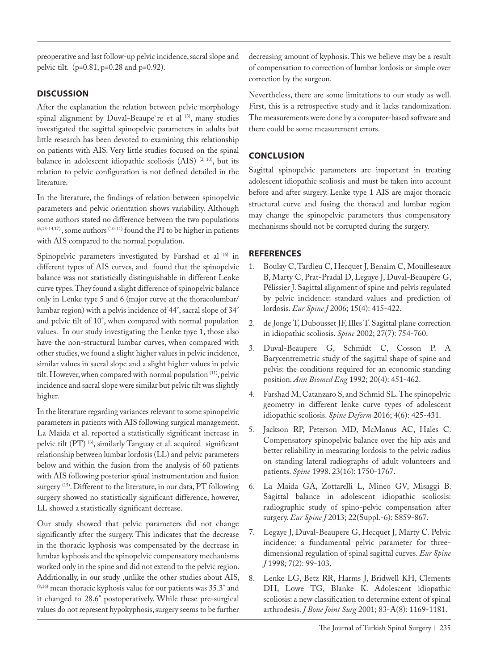preoperative and last follow-up pelvic incidence, sacral slope and pelvic tilt. (p=0.81, p=0.28 and p=0.92).

#### **DISCUSSION**

After the explanation the relation between pelvic morphology spinal alignment by Duval-Beaupe're et al (3), many studies investigated the sagittal spinopelvic parameters in adults but little research has been devoted to examining this relationship on patients with AIS. Very little studies focused on the spinal balance in adolescent idiopathic scoliosis (AIS)<sup>(2, 10)</sup>, but its relation to pelvic configuration is not defined detailed in the literature.

In the literature, the findings of relation between spinopelvic parameters and pelvic orientation shows variability. Although some authors stated no difference between the two populations  $(6,13-14,17)$ , some authors  $(10-11)$  found the PI to be higher in patients with AIS compared to the normal population.

Spinopelvic parameters investigated by Farshad et al (6) in different types of AIS curves, and found that the spinopelvic balance was not statistically distinguishable in different Lenke curve types. They found a slight difference of spinopelvic balance only in Lenke type 5 and 6 (major curve at the thoracolumbar/ lumbar region) with a pelvis incidence of 44°, sacral slope of 34° and pelvic tilt of 10°, when compared with normal population values. In our study investigating the Lenke tpye 1, those also have the non-structural lumbar curves, when compared with other studies, we found a slight higher values in pelvic incidence, similar values in sacral slope and a slight higher values in pelvic tilt. However, when compared with normal population <sup>(11)</sup>, pelvic incidence and sacral slope were similar but pelvic tilt was slightly higher.

In the literature regarding variances relevant to some spinopelvic parameters in patients with AIS following surgical management. La Maida et al. reported a statistically significant increase in pelvic tilt (PT)<sup>(6)</sup>, similarly Tanguay et al. acquired significant relationship between lumbar lordosis (LL) and pelvic parameters below and within the fusion from the analysis of 60 patients with AIS following posterior spinal instrumentation and fusion surgery <sup>(15)</sup>. Different to the literature, in our data, PT following surgery showed no statistically significant difference, however, LL showed a statistically significant decrease.

Our study showed that pelvic parameters did not change significantly after the surgery. This indicates that the decrease in the thoracic kyphosis was compensated by the decrease in lumbar kyphosis and the spinopelvic compensatory mechanisms worked only in the spine and did not extend to the pelvic region. Additionally, in our study ,unlike the other studies about AIS,  $(8,16)$  mean thoracic kyphosis value for our patients was  $35.3^\circ$  and it changed to 28.6° postoperatively. While these pre-surgical values do not represent hypokyphosis, surgery seems to be further

decreasing amount of kyphosis. This we believe may be a result of compensation to correction of lumbar lordosis or simple over correction by the surgeon.

Nevertheless, there are some limitations to our study as well. First, this is a retrospective study and it lacks randomization. The measurements were done by a computer-based software and there could be some measurement errors.

## **CONCLUSION**

Sagittal spinopelvic parameters are important in treating adolescent idiopathic scoliosis and must be taken into account before and after surgery. Lenke type 1 AIS are major thoracic structural curve and fusing the thoracal and lumbar region may change the spinopelvic parameters thus compensatory mechanisms should not be corrupted during the surgery.

## **REFERENCES**

- 1. Boulay C, Tardieu C, Hecquet J, Benaim C, Mouilleseaux B, Marty C, Prat-Pradal D, Legaye J, Duval-Beaupère G, Pélissier J. Sagittal alignment of spine and pelvis regulated by pelvic incidence: standard values and prediction of lordosis. *Eur Spine J* 2006; 15(4): 415-422.
- 2. de Jonge T, Dubousset JF, Illes T. Sagittal plane correction in idiopathic scoliosis. *Spine* 2002; 27(7): 754-760.
- 3. Duval-Beaupere G, Schmidt C, Cosson P. A Barycentremetric study of the sagittal shape of spine and pelvis: the conditions required for an economic standing position. *Ann Biomed Eng* 1992; 20(4): 451-462.
- 4. Farshad M, Catanzaro S, and Schmid SL. The spinopelvic geometry in different lenke curve types of adolescent idiopathic scoliosis. *Spine Deform* 2016; 4(6): 425-431.
- 5. Jackson RP, Peterson MD, McManus AC, Hales C. Compensatory spinopelvic balance over the hip axis and better reliability in measuring lordosis to the pelvic radius on standing lateral radiographs of adult volunteers and patients. *Spine* 1998. 23(16): 1750-1767.
- 6. La Maida GA, Zottarelli L, Mineo GV, Misaggi B. Sagittal balance in adolescent idiopathic scoliosis: radiographic study of spino-pelvic compensation after surgery. *Eur Spine J* 2013; 22(Suppl.-6): S859-867.
- 7. Legaye J, Duval-Beaupere G, Hecquet J, Marty C. Pelvic incidence: a fundamental pelvic parameter for threedimensional regulation of spinal sagittal curves. *Eur Spine J* 1998; 7(2): 99-103.
- 8. Lenke LG, Betz RR, Harms J, Bridwell KH, Clements DH, Lowe TG, Blanke K. Adolescent idiopathic scoliosis: a new classification to determine extent of spinal arthrodesis. *J Bone Joint Surg* 2001; 83-A(8): 1169-1181.